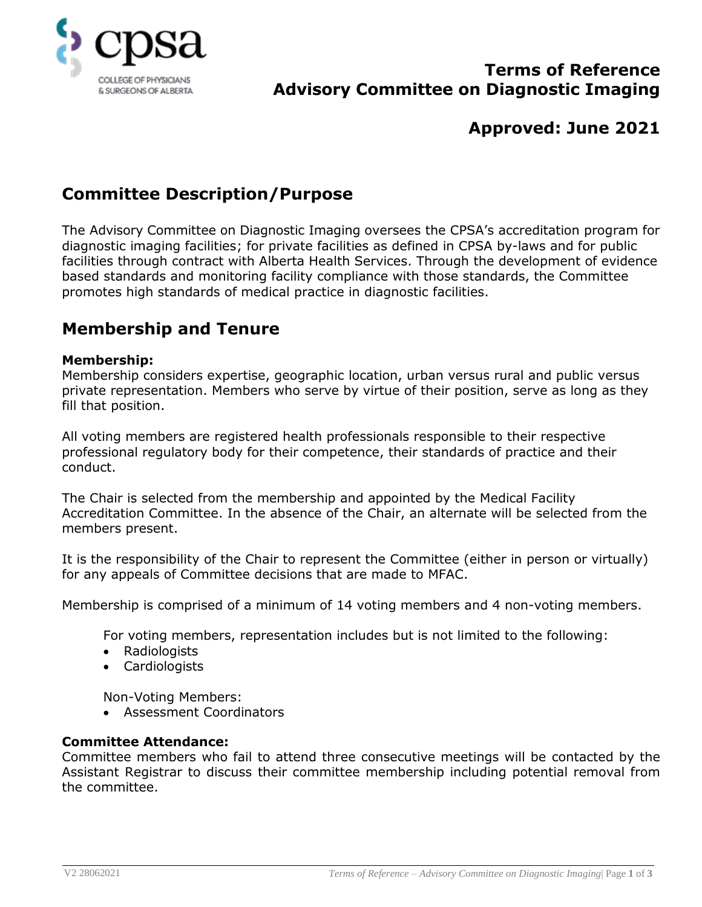

## **Terms of Reference Advisory Committee on Diagnostic Imaging**

# **Approved: June 2021**

# **Committee Description/Purpose**

The Advisory Committee on Diagnostic Imaging oversees the CPSA's accreditation program for diagnostic imaging facilities; for private facilities as defined in CPSA by-laws and for public facilities through contract with Alberta Health Services. Through the development of evidence based standards and monitoring facility compliance with those standards, the Committee promotes high standards of medical practice in diagnostic facilities.

## **Membership and Tenure**

#### **Membership:**

Membership considers expertise, geographic location, urban versus rural and public versus private representation. Members who serve by virtue of their position, serve as long as they fill that position.

All voting members are registered health professionals responsible to their respective professional regulatory body for their competence, their standards of practice and their conduct.

The Chair is selected from the membership and appointed by the Medical Facility Accreditation Committee. In the absence of the Chair, an alternate will be selected from the members present.

It is the responsibility of the Chair to represent the Committee (either in person or virtually) for any appeals of Committee decisions that are made to MFAC.

Membership is comprised of a minimum of 14 voting members and 4 non-voting members.

For voting members, representation includes but is not limited to the following:

- Radiologists
- Cardiologists

Non-Voting Members:

Assessment Coordinators

### **Committee Attendance:**

Committee members who fail to attend three consecutive meetings will be contacted by the Assistant Registrar to discuss their committee membership including potential removal from the committee.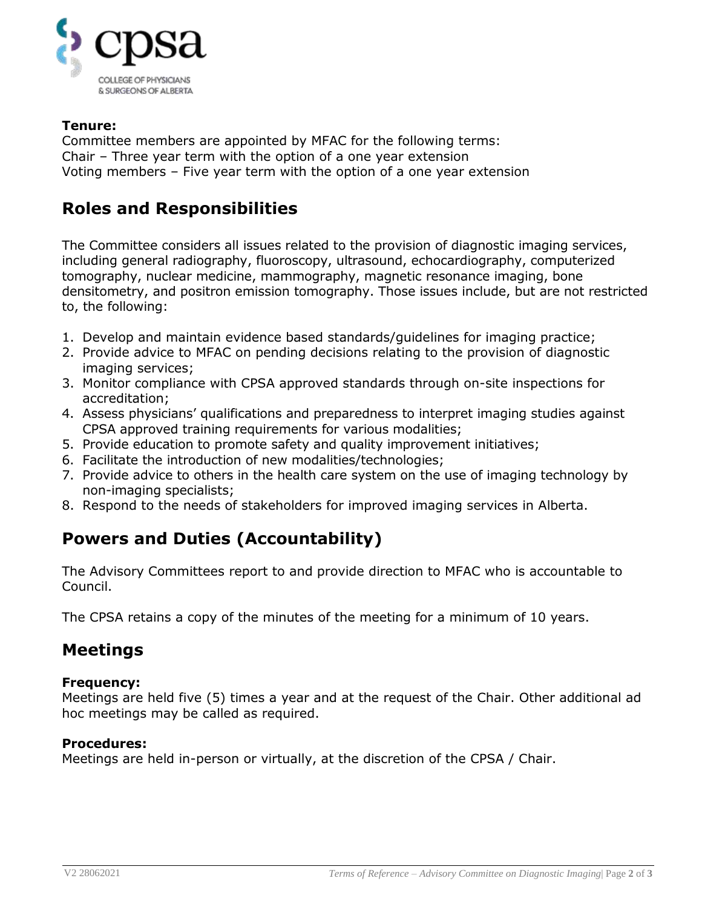

### **Tenure:**

Committee members are appointed by MFAC for the following terms: Chair – Three year term with the option of a one year extension Voting members – Five year term with the option of a one year extension

# **Roles and Responsibilities**

The Committee considers all issues related to the provision of diagnostic imaging services, including general radiography, fluoroscopy, ultrasound, echocardiography, computerized tomography, nuclear medicine, mammography, magnetic resonance imaging, bone densitometry, and positron emission tomography. Those issues include, but are not restricted to, the following:

- 1. Develop and maintain evidence based standards/guidelines for imaging practice;
- 2. Provide advice to MFAC on pending decisions relating to the provision of diagnostic imaging services;
- 3. Monitor compliance with CPSA approved standards through on-site inspections for accreditation;
- 4. Assess physicians' qualifications and preparedness to interpret imaging studies against CPSA approved training requirements for various modalities;
- 5. Provide education to promote safety and quality improvement initiatives;
- 6. Facilitate the introduction of new modalities/technologies;
- 7. Provide advice to others in the health care system on the use of imaging technology by non-imaging specialists;
- 8. Respond to the needs of stakeholders for improved imaging services in Alberta.

# **Powers and Duties (Accountability)**

The Advisory Committees report to and provide direction to MFAC who is accountable to Council.

The CPSA retains a copy of the minutes of the meeting for a minimum of 10 years.

### **Meetings**

### **Frequency:**

Meetings are held five (5) times a year and at the request of the Chair. Other additional ad hoc meetings may be called as required.

### **Procedures:**

Meetings are held in-person or virtually, at the discretion of the CPSA / Chair.